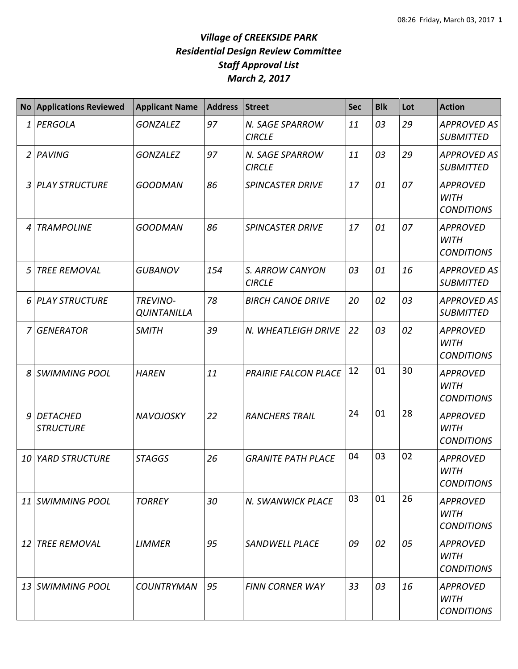## *Village of CREEKSIDE PARK Residential Design Review Committee Staff Approval List March 2, 2017*

|   | <b>No Applications Reviewed</b> | <b>Applicant Name</b>          | <b>Address</b> | <b>Street</b>                    | <b>Sec</b> | <b>Blk</b> | Lot | <b>Action</b>                                       |
|---|---------------------------------|--------------------------------|----------------|----------------------------------|------------|------------|-----|-----------------------------------------------------|
| 1 | PERGOLA                         | <b>GONZALEZ</b>                | 97             | N. SAGE SPARROW<br><b>CIRCLE</b> | 11         | 03         | 29  | <b>APPROVED AS</b><br><b>SUBMITTED</b>              |
|   | 2 PAVING                        | <b>GONZALEZ</b>                | 97             | N. SAGE SPARROW<br><b>CIRCLE</b> | 11         | 03         | 29  | <b>APPROVED AS</b><br><b>SUBMITTED</b>              |
| 3 | PLAY STRUCTURE                  | <b>GOODMAN</b>                 | 86             | <b>SPINCASTER DRIVE</b>          | 17         | 01         | 07  | <b>APPROVED</b><br><b>WITH</b><br><b>CONDITIONS</b> |
| 4 | <b>TRAMPOLINE</b>               | <b>GOODMAN</b>                 | 86             | <b>SPINCASTER DRIVE</b>          | 17         | 01         | 07  | <b>APPROVED</b><br><b>WITH</b><br><b>CONDITIONS</b> |
| 5 | <b>TREE REMOVAL</b>             | <b>GUBANOV</b>                 | 154            | S. ARROW CANYON<br><b>CIRCLE</b> | 03         | 01         | 16  | <b>APPROVED AS</b><br><b>SUBMITTED</b>              |
|   | 6 PLAY STRUCTURE                | TREVINO-<br><b>QUINTANILLA</b> | 78             | <b>BIRCH CANOE DRIVE</b>         | 20         | 02         | 03  | <b>APPROVED AS</b><br><b>SUBMITTED</b>              |
| 7 | GENERATOR                       | <b>SMITH</b>                   | 39             | N. WHEATLEIGH DRIVE              | 22         | 03         | 02  | <b>APPROVED</b><br><b>WITH</b><br><b>CONDITIONS</b> |
| 8 | <b>SWIMMING POOL</b>            | <b>HAREN</b>                   | 11             | <b>PRAIRIE FALCON PLACE</b>      | 12         | 01         | 30  | <b>APPROVED</b><br><b>WITH</b><br><b>CONDITIONS</b> |
|   | 9 DETACHED<br><b>STRUCTURE</b>  | <b>NAVOJOSKY</b>               | 22             | <b>RANCHERS TRAIL</b>            | 24         | 01         | 28  | <b>APPROVED</b><br><b>WITH</b><br><b>CONDITIONS</b> |
|   | 10 YARD STRUCTURE               | <b>STAGGS</b>                  | 26             | <b>GRANITE PATH PLACE</b>        | 04         | 03         | 02  | <b>APPROVED</b><br><b>WITH</b><br><b>CONDITIONS</b> |
|   | 11 SWIMMING POOL                | <b>TORREY</b>                  | 30             | N. SWANWICK PLACE                | 03         | 01         | 26  | <b>APPROVED</b><br><b>WITH</b><br><b>CONDITIONS</b> |
|   | 12 TREE REMOVAL                 | <b>LIMMER</b>                  | 95             | <b>SANDWELL PLACE</b>            | 09         | 02         | 05  | <b>APPROVED</b><br><b>WITH</b><br><b>CONDITIONS</b> |
|   | 13 SWIMMING POOL                | <b>COUNTRYMAN</b>              | 95             | <b>FINN CORNER WAY</b>           | 33         | 03         | 16  | <b>APPROVED</b><br><b>WITH</b><br><b>CONDITIONS</b> |